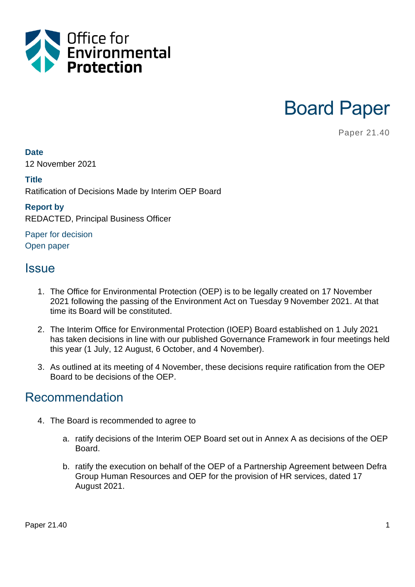

Board Paper

Paper 21.40

#### **Date**

12 November 2021

#### **Title**

Ratification of Decisions Made by Interim OEP Board

#### **Report by**

REDACTED, Principal Business Officer

Paper for decision Open paper

### **Issue**

- 1. The Office for Environmental Protection (OEP) is to be legally created on 17 November 2021 following the passing of the Environment Act on Tuesday 9 November 2021. At that time its Board will be constituted.
- 2. The Interim Office for Environmental Protection (IOEP) Board established on 1 July 2021 has taken decisions in line with our published Governance Framework in four meetings held this year (1 July, 12 August, 6 October, and 4 November).
- 3. As outlined at its meeting of 4 November, these decisions require ratification from the OEP Board to be decisions of the OEP.

### Recommendation

- 4. The Board is recommended to agree to
	- a. ratify decisions of the Interim OEP Board set out in Annex A as decisions of the OEP **Board**
	- b. ratify the execution on behalf of the OEP of a Partnership Agreement between Defra Group Human Resources and OEP for the provision of HR services, dated 17 August 2021.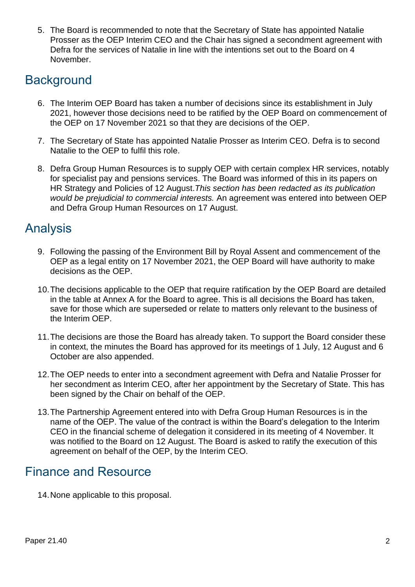5. The Board is recommended to note that the Secretary of State has appointed Natalie Prosser as the OEP Interim CEO and the Chair has signed a secondment agreement with Defra for the services of Natalie in line with the intentions set out to the Board on 4 November.

# **Background**

- 6. The Interim OEP Board has taken a number of decisions since its establishment in July 2021, however those decisions need to be ratified by the OEP Board on commencement of the OEP on 17 November 2021 so that they are decisions of the OEP.
- 7. The Secretary of State has appointed Natalie Prosser as Interim CEO. Defra is to second Natalie to the OEP to fulfil this role.
- 8. Defra Group Human Resources is to supply OEP with certain complex HR services, notably for specialist pay and pensions services. The Board was informed of this in its papers on HR Strategy and Policies of 12 August.*This section has been redacted as its publication would be prejudicial to commercial interests.* An agreement was entered into between OEP and Defra Group Human Resources on 17 August.

## Analysis

- 9. Following the passing of the Environment Bill by Royal Assent and commencement of the OEP as a legal entity on 17 November 2021, the OEP Board will have authority to make decisions as the OEP.
- 10.The decisions applicable to the OEP that require ratification by the OEP Board are detailed in the table at Annex A for the Board to agree. This is all decisions the Board has taken, save for those which are superseded or relate to matters only relevant to the business of the Interim OEP.
- 11.The decisions are those the Board has already taken. To support the Board consider these in context, the minutes the Board has approved for its meetings of 1 July, 12 August and 6 October are also appended.
- 12.The OEP needs to enter into a secondment agreement with Defra and Natalie Prosser for her secondment as Interim CEO, after her appointment by the Secretary of State. This has been signed by the Chair on behalf of the OEP.
- 13.The Partnership Agreement entered into with Defra Group Human Resources is in the name of the OEP. The value of the contract is within the Board's delegation to the Interim CEO in the financial scheme of delegation it considered in its meeting of 4 November. It was notified to the Board on 12 August. The Board is asked to ratify the execution of this agreement on behalf of the OEP, by the Interim CEO.

## Finance and Resource

14.None applicable to this proposal.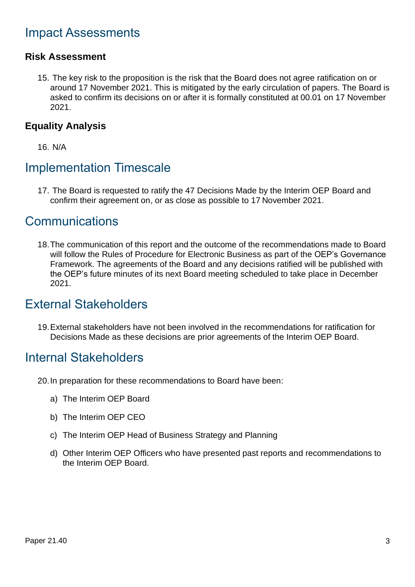# Impact Assessments

#### **Risk Assessment**

15. The key risk to the proposition is the risk that the Board does not agree ratification on or around 17 November 2021. This is mitigated by the early circulation of papers. The Board is asked to confirm its decisions on or after it is formally constituted at 00.01 on 17 November 2021.

#### **Equality Analysis**

16. N/A

## Implementation Timescale

17. The Board is requested to ratify the 47 Decisions Made by the Interim OEP Board and confirm their agreement on, or as close as possible to 17 November 2021.

## Communications

18.The communication of this report and the outcome of the recommendations made to Board will follow the Rules of Procedure for Electronic Business as part of the OEP's Governance Framework. The agreements of the Board and any decisions ratified will be published with the OEP's future minutes of its next Board meeting scheduled to take place in December 2021.

## External Stakeholders

19.External stakeholders have not been involved in the recommendations for ratification for Decisions Made as these decisions are prior agreements of the Interim OEP Board.

### Internal Stakeholders

- 20.In preparation for these recommendations to Board have been:
	- a) The Interim OEP Board
	- b) The Interim OEP CEO
	- c) The Interim OEP Head of Business Strategy and Planning
	- d) Other Interim OEP Officers who have presented past reports and recommendations to the Interim OEP Board.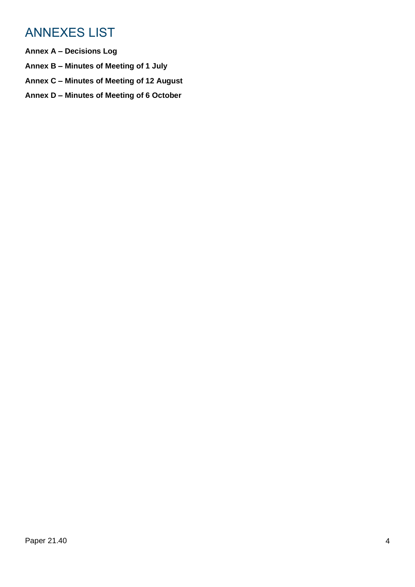# ANNEXES LIST

- **Annex A – Decisions Log**
- **Annex B – Minutes of Meeting of 1 July**
- **Annex C – Minutes of Meeting of 12 August**
- **Annex D – Minutes of Meeting of 6 October**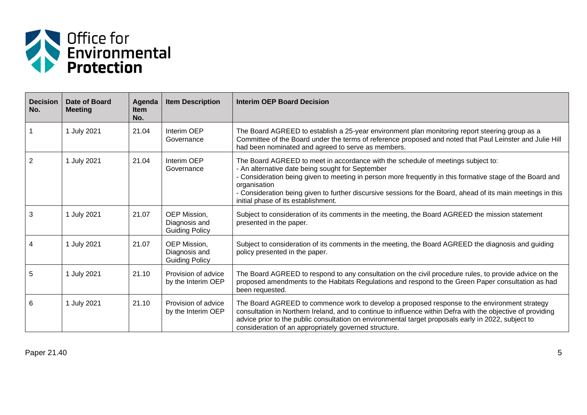

| <b>Decision</b><br>No. | Date of Board<br><b>Meeting</b> | Agenda<br><b>Item</b><br>No. | <b>Item Description</b>                                | Interim OEP Board Decision                                                                                                                                                                                                                                                                                                                                                                                               |
|------------------------|---------------------------------|------------------------------|--------------------------------------------------------|--------------------------------------------------------------------------------------------------------------------------------------------------------------------------------------------------------------------------------------------------------------------------------------------------------------------------------------------------------------------------------------------------------------------------|
|                        | 1 July 2021                     | 21.04                        | Interim OEP<br>Governance                              | The Board AGREED to establish a 25-year environment plan monitoring report steering group as a<br>Committee of the Board under the terms of reference proposed and noted that Paul Leinster and Julie Hill<br>had been nominated and agreed to serve as members.                                                                                                                                                         |
| 2                      | 1 July 2021                     | 21.04                        | Interim OEP<br>Governance                              | The Board AGREED to meet in accordance with the schedule of meetings subject to:<br>- An alternative date being sought for September<br>- Consideration being given to meeting in person more frequently in this formative stage of the Board and<br>organisation<br>- Consideration being given to further discursive sessions for the Board, ahead of its main meetings in this<br>initial phase of its establishment. |
| 3                      | 1 July 2021                     | 21.07                        | OEP Mission,<br>Diagnosis and<br><b>Guiding Policy</b> | Subject to consideration of its comments in the meeting, the Board AGREED the mission statement<br>presented in the paper.                                                                                                                                                                                                                                                                                               |
| 4                      | 1 July 2021                     | 21.07                        | OEP Mission,<br>Diagnosis and<br><b>Guiding Policy</b> | Subject to consideration of its comments in the meeting, the Board AGREED the diagnosis and guiding<br>policy presented in the paper.                                                                                                                                                                                                                                                                                    |
| 5                      | 1 July 2021                     | 21.10                        | Provision of advice<br>by the Interim OEP              | The Board AGREED to respond to any consultation on the civil procedure rules, to provide advice on the<br>proposed amendments to the Habitats Regulations and respond to the Green Paper consultation as had<br>been requested.                                                                                                                                                                                          |
| 6                      | 1 July 2021                     | 21.10                        | Provision of advice<br>by the Interim OEP              | The Board AGREED to commence work to develop a proposed response to the environment strategy<br>consultation in Northern Ireland, and to continue to influence within Defra with the objective of providing<br>advice prior to the public consultation on environmental target proposals early in 2022, subject to<br>consideration of an appropriately governed structure.                                              |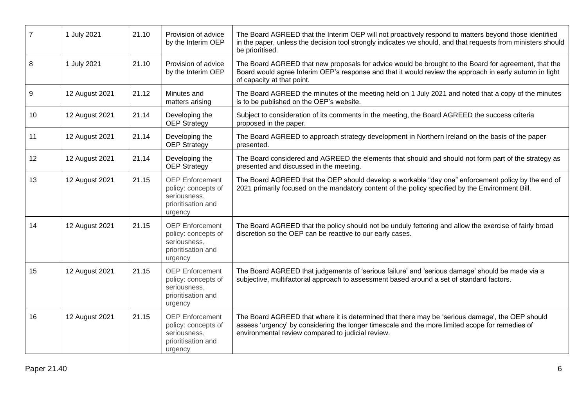| $\overline{7}$ | 1 July 2021    | 21.10 | Provision of advice<br>by the Interim OEP                                                      | The Board AGREED that the Interim OEP will not proactively respond to matters beyond those identified<br>in the paper, unless the decision tool strongly indicates we should, and that requests from ministers should<br>be prioritised.                |
|----------------|----------------|-------|------------------------------------------------------------------------------------------------|---------------------------------------------------------------------------------------------------------------------------------------------------------------------------------------------------------------------------------------------------------|
| 8              | 1 July 2021    | 21.10 | Provision of advice<br>by the Interim OEP                                                      | The Board AGREED that new proposals for advice would be brought to the Board for agreement, that the<br>Board would agree Interim OEP's response and that it would review the approach in early autumn in light<br>of capacity at that point.           |
| $\mathsf g$    | 12 August 2021 | 21.12 | Minutes and<br>matters arising                                                                 | The Board AGREED the minutes of the meeting held on 1 July 2021 and noted that a copy of the minutes<br>is to be published on the OEP's website.                                                                                                        |
| 10             | 12 August 2021 | 21.14 | Developing the<br><b>OEP Strategy</b>                                                          | Subject to consideration of its comments in the meeting, the Board AGREED the success criteria<br>proposed in the paper.                                                                                                                                |
| 11             | 12 August 2021 | 21.14 | Developing the<br><b>OEP Strategy</b>                                                          | The Board AGREED to approach strategy development in Northern Ireland on the basis of the paper<br>presented.                                                                                                                                           |
| 12             | 12 August 2021 | 21.14 | Developing the<br><b>OEP Strategy</b>                                                          | The Board considered and AGREED the elements that should and should not form part of the strategy as<br>presented and discussed in the meeting.                                                                                                         |
| 13             | 12 August 2021 | 21.15 | <b>OEP</b> Enforcement<br>policy: concepts of<br>seriousness,<br>prioritisation and<br>urgency | The Board AGREED that the OEP should develop a workable "day one" enforcement policy by the end of<br>2021 primarily focused on the mandatory content of the policy specified by the Environment Bill.                                                  |
| 14             | 12 August 2021 | 21.15 | <b>OEP</b> Enforcement<br>policy: concepts of<br>seriousness,<br>prioritisation and<br>urgency | The Board AGREED that the policy should not be unduly fettering and allow the exercise of fairly broad<br>discretion so the OEP can be reactive to our early cases.                                                                                     |
| 15             | 12 August 2021 | 21.15 | <b>OEP</b> Enforcement<br>policy: concepts of<br>seriousness.<br>prioritisation and<br>urgency | The Board AGREED that judgements of 'serious failure' and 'serious damage' should be made via a<br>subjective, multifactorial approach to assessment based around a set of standard factors.                                                            |
| 16             | 12 August 2021 | 21.15 | <b>OEP</b> Enforcement<br>policy: concepts of<br>seriousness,<br>prioritisation and<br>urgency | The Board AGREED that where it is determined that there may be 'serious damage', the OEP should<br>assess 'urgency' by considering the longer timescale and the more limited scope for remedies of<br>environmental review compared to judicial review. |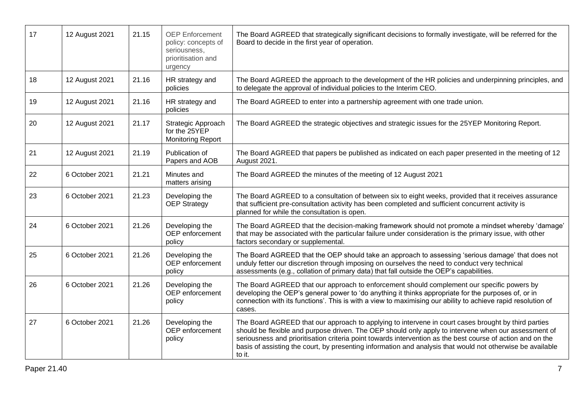| 17 | 12 August 2021 | 21.15 | <b>OEP</b> Enforcement<br>policy: concepts of<br>seriousness,<br>prioritisation and<br>urgency | The Board AGREED that strategically significant decisions to formally investigate, will be referred for the<br>Board to decide in the first year of operation.                                                                                                                                                                                                                                                                                    |
|----|----------------|-------|------------------------------------------------------------------------------------------------|---------------------------------------------------------------------------------------------------------------------------------------------------------------------------------------------------------------------------------------------------------------------------------------------------------------------------------------------------------------------------------------------------------------------------------------------------|
| 18 | 12 August 2021 | 21.16 | HR strategy and<br>policies                                                                    | The Board AGREED the approach to the development of the HR policies and underpinning principles, and<br>to delegate the approval of individual policies to the Interim CEO.                                                                                                                                                                                                                                                                       |
| 19 | 12 August 2021 | 21.16 | HR strategy and<br>policies                                                                    | The Board AGREED to enter into a partnership agreement with one trade union.                                                                                                                                                                                                                                                                                                                                                                      |
| 20 | 12 August 2021 | 21.17 | Strategic Approach<br>for the 25YEP<br><b>Monitoring Report</b>                                | The Board AGREED the strategic objectives and strategic issues for the 25YEP Monitoring Report.                                                                                                                                                                                                                                                                                                                                                   |
| 21 | 12 August 2021 | 21.19 | Publication of<br>Papers and AOB                                                               | The Board AGREED that papers be published as indicated on each paper presented in the meeting of 12<br>August 2021.                                                                                                                                                                                                                                                                                                                               |
| 22 | 6 October 2021 | 21.21 | Minutes and<br>matters arising                                                                 | The Board AGREED the minutes of the meeting of 12 August 2021                                                                                                                                                                                                                                                                                                                                                                                     |
| 23 | 6 October 2021 | 21.23 | Developing the<br><b>OEP Strategy</b>                                                          | The Board AGREED to a consultation of between six to eight weeks, provided that it receives assurance<br>that sufficient pre-consultation activity has been completed and sufficient concurrent activity is<br>planned for while the consultation is open.                                                                                                                                                                                        |
| 24 | 6 October 2021 | 21.26 | Developing the<br>OEP enforcement<br>policy                                                    | The Board AGREED that the decision-making framework should not promote a mindset whereby 'damage'<br>that may be associated with the particular failure under consideration is the primary issue, with other<br>factors secondary or supplemental.                                                                                                                                                                                                |
| 25 | 6 October 2021 | 21.26 | Developing the<br>OEP enforcement<br>policy                                                    | The Board AGREED that the OEP should take an approach to assessing 'serious damage' that does not<br>unduly fetter our discretion through imposing on ourselves the need to conduct very technical<br>assessments (e.g., collation of primary data) that fall outside the OEP's capabilities.                                                                                                                                                     |
| 26 | 6 October 2021 | 21.26 | Developing the<br>OEP enforcement<br>policy                                                    | The Board AGREED that our approach to enforcement should complement our specific powers by<br>developing the OEP's general power to 'do anything it thinks appropriate for the purposes of, or in<br>connection with its functions'. This is with a view to maximising our ability to achieve rapid resolution of<br>cases.                                                                                                                       |
| 27 | 6 October 2021 | 21.26 | Developing the<br>OEP enforcement<br>policy                                                    | The Board AGREED that our approach to applying to intervene in court cases brought by third parties<br>should be flexible and purpose driven. The OEP should only apply to intervene when our assessment of<br>seriousness and prioritisation criteria point towards intervention as the best course of action and on the<br>basis of assisting the court, by presenting information and analysis that would not otherwise be available<br>to it. |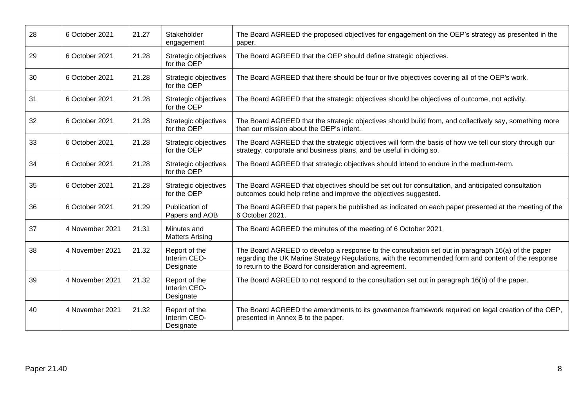| 28 | 6 October 2021  | 21.27 | Stakeholder<br>engagement                  | The Board AGREED the proposed objectives for engagement on the OEP's strategy as presented in the<br>paper.                                                                                                                                                          |
|----|-----------------|-------|--------------------------------------------|----------------------------------------------------------------------------------------------------------------------------------------------------------------------------------------------------------------------------------------------------------------------|
| 29 | 6 October 2021  | 21.28 | Strategic objectives<br>for the OEP        | The Board AGREED that the OEP should define strategic objectives.                                                                                                                                                                                                    |
| 30 | 6 October 2021  | 21.28 | Strategic objectives<br>for the OEP        | The Board AGREED that there should be four or five objectives covering all of the OEP's work.                                                                                                                                                                        |
| 31 | 6 October 2021  | 21.28 | Strategic objectives<br>for the OEP        | The Board AGREED that the strategic objectives should be objectives of outcome, not activity.                                                                                                                                                                        |
| 32 | 6 October 2021  | 21.28 | Strategic objectives<br>for the OEP        | The Board AGREED that the strategic objectives should build from, and collectively say, something more<br>than our mission about the OEP's intent.                                                                                                                   |
| 33 | 6 October 2021  | 21.28 | Strategic objectives<br>for the OEP        | The Board AGREED that the strategic objectives will form the basis of how we tell our story through our<br>strategy, corporate and business plans, and be useful in doing so.                                                                                        |
| 34 | 6 October 2021  | 21.28 | Strategic objectives<br>for the OEP        | The Board AGREED that strategic objectives should intend to endure in the medium-term.                                                                                                                                                                               |
| 35 | 6 October 2021  | 21.28 | Strategic objectives<br>for the OEP        | The Board AGREED that objectives should be set out for consultation, and anticipated consultation<br>outcomes could help refine and improve the objectives suggested.                                                                                                |
| 36 | 6 October 2021  | 21.29 | Publication of<br>Papers and AOB           | The Board AGREED that papers be published as indicated on each paper presented at the meeting of the<br>6 October 2021.                                                                                                                                              |
| 37 | 4 November 2021 | 21.31 | Minutes and<br><b>Matters Arising</b>      | The Board AGREED the minutes of the meeting of 6 October 2021                                                                                                                                                                                                        |
| 38 | 4 November 2021 | 21.32 | Report of the<br>Interim CEO-<br>Designate | The Board AGREED to develop a response to the consultation set out in paragraph 16(a) of the paper<br>regarding the UK Marine Strategy Regulations, with the recommended form and content of the response<br>to return to the Board for consideration and agreement. |
| 39 | 4 November 2021 | 21.32 | Report of the<br>Interim CEO-<br>Designate | The Board AGREED to not respond to the consultation set out in paragraph 16(b) of the paper.                                                                                                                                                                         |
| 40 | 4 November 2021 | 21.32 | Report of the<br>Interim CEO-<br>Designate | The Board AGREED the amendments to its governance framework required on legal creation of the OEP,<br>presented in Annex B to the paper.                                                                                                                             |